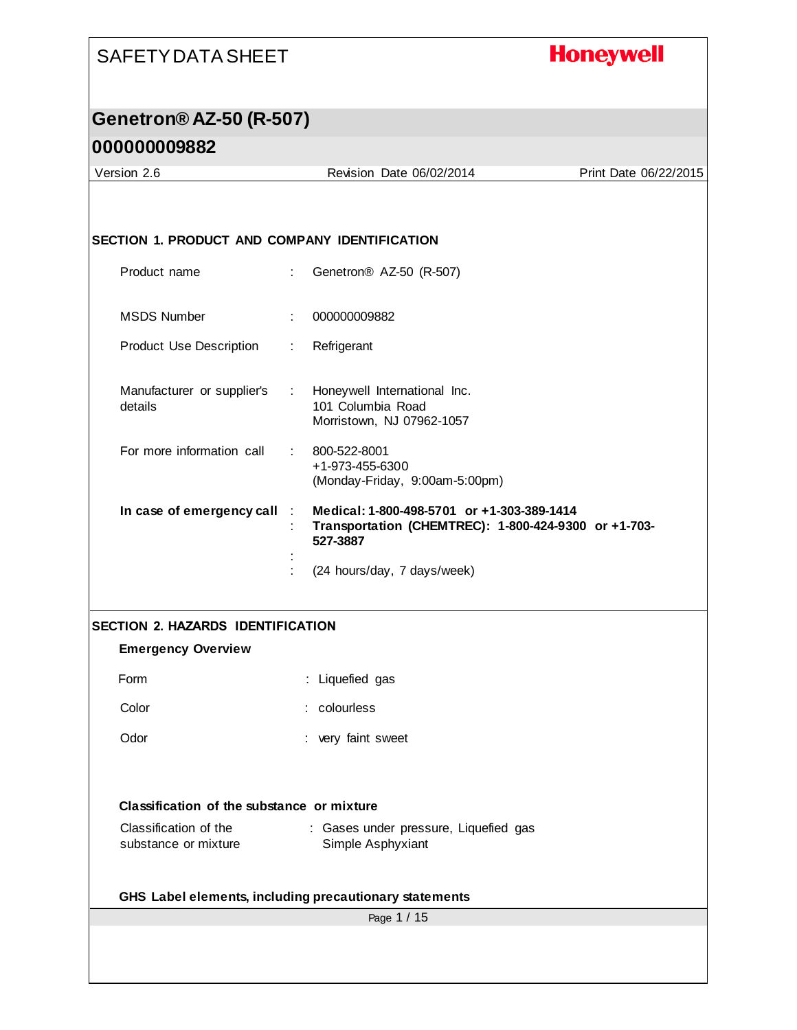# **Honeywell**

## **Genetron® AZ-50 (R-507)**

| Version 2.6                                          | Revision Date 06/02/2014                                                                                       | Print Date 06/22/2015 |
|------------------------------------------------------|----------------------------------------------------------------------------------------------------------------|-----------------------|
|                                                      |                                                                                                                |                       |
|                                                      |                                                                                                                |                       |
| <b>SECTION 1. PRODUCT AND COMPANY IDENTIFICATION</b> |                                                                                                                |                       |
| Product name                                         | Genetron <sup>®</sup> AZ-50 (R-507)<br>÷                                                                       |                       |
| <b>MSDS Number</b>                                   | 000000009882                                                                                                   |                       |
| Product Use Description                              | Refrigerant<br>÷.                                                                                              |                       |
| Manufacturer or supplier's<br>details                | Honeywell International Inc.<br>$\mathbb{R}^n$<br>101 Columbia Road<br>Morristown, NJ 07962-1057               |                       |
| For more information call                            | 800-522-8001<br>+1-973-455-6300<br>(Monday-Friday, 9:00am-5:00pm)                                              |                       |
| In case of emergency call                            | Medical: 1-800-498-5701 or +1-303-389-1414<br>Transportation (CHEMTREC): 1-800-424-9300 or +1-703-<br>527-3887 |                       |
|                                                      | (24 hours/day, 7 days/week)                                                                                    |                       |
| <b>SECTION 2. HAZARDS IDENTIFICATION</b>             |                                                                                                                |                       |
| <b>Emergency Overview</b>                            |                                                                                                                |                       |
| Form                                                 | : Liquefied gas                                                                                                |                       |
| Color                                                | : colourless                                                                                                   |                       |
| Odor                                                 | : very faint sweet                                                                                             |                       |
|                                                      |                                                                                                                |                       |
| Classification of the substance or mixture           |                                                                                                                |                       |
| Classification of the<br>substance or mixture        | : Gases under pressure, Liquefied gas<br>Simple Asphyxiant                                                     |                       |
|                                                      | GHS Label elements, including precautionary statements                                                         |                       |
|                                                      | Page 1 / 15                                                                                                    |                       |
|                                                      |                                                                                                                |                       |
|                                                      |                                                                                                                |                       |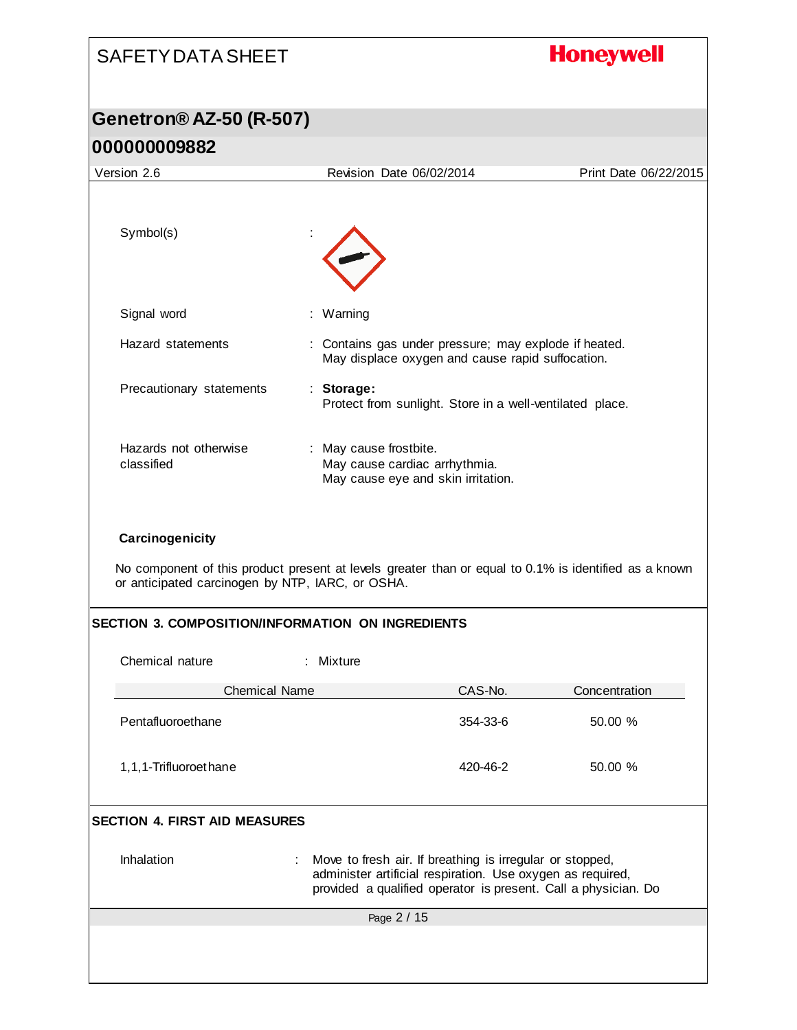| <b>SAFETY DATA SHEET</b>                                                                                                                                                                                                                 |                                                         |                                                                                                                                                                                          | <b>Honeywell</b>      |
|------------------------------------------------------------------------------------------------------------------------------------------------------------------------------------------------------------------------------------------|---------------------------------------------------------|------------------------------------------------------------------------------------------------------------------------------------------------------------------------------------------|-----------------------|
| Genetron® AZ-50 (R-507)                                                                                                                                                                                                                  |                                                         |                                                                                                                                                                                          |                       |
| 000000009882                                                                                                                                                                                                                             |                                                         |                                                                                                                                                                                          |                       |
| Version 2.6                                                                                                                                                                                                                              | Revision Date 06/02/2014                                |                                                                                                                                                                                          | Print Date 06/22/2015 |
| Symbol(s)                                                                                                                                                                                                                                |                                                         |                                                                                                                                                                                          |                       |
| Signal word                                                                                                                                                                                                                              | : Warning                                               |                                                                                                                                                                                          |                       |
| Hazard statements                                                                                                                                                                                                                        |                                                         | : Contains gas under pressure; may explode if heated.<br>May displace oxygen and cause rapid suffocation.                                                                                |                       |
| Precautionary statements                                                                                                                                                                                                                 | : Storage:                                              | Protect from sunlight. Store in a well-ventilated place.                                                                                                                                 |                       |
| Hazards not otherwise<br>classified                                                                                                                                                                                                      | : May cause frostbite.<br>May cause cardiac arrhythmia. | May cause eye and skin irritation.                                                                                                                                                       |                       |
|                                                                                                                                                                                                                                          |                                                         |                                                                                                                                                                                          |                       |
| Carcinogenicity<br>No component of this product present at levels greater than or equal to 0.1% is identified as a known<br>or anticipated carcinogen by NTP, IARC, or OSHA.<br><b>SECTION 3. COMPOSITION/INFORMATION ON INGREDIENTS</b> |                                                         |                                                                                                                                                                                          |                       |
| Chemical nature                                                                                                                                                                                                                          | : Mixture                                               |                                                                                                                                                                                          |                       |
| <b>Chemical Name</b>                                                                                                                                                                                                                     |                                                         | CAS-No.                                                                                                                                                                                  | Concentration         |
| Pentafluoroethane                                                                                                                                                                                                                        |                                                         | 354-33-6                                                                                                                                                                                 | 50.00 %               |
| 1,1,1-Trifluoroethane                                                                                                                                                                                                                    |                                                         | 420-46-2                                                                                                                                                                                 | 50.00 %               |
| <b>SECTION 4. FIRST AID MEASURES</b>                                                                                                                                                                                                     |                                                         |                                                                                                                                                                                          |                       |
| Inhalation                                                                                                                                                                                                                               |                                                         | Move to fresh air. If breathing is irregular or stopped,<br>administer artificial respiration. Use oxygen as required,<br>provided a qualified operator is present. Call a physician. Do |                       |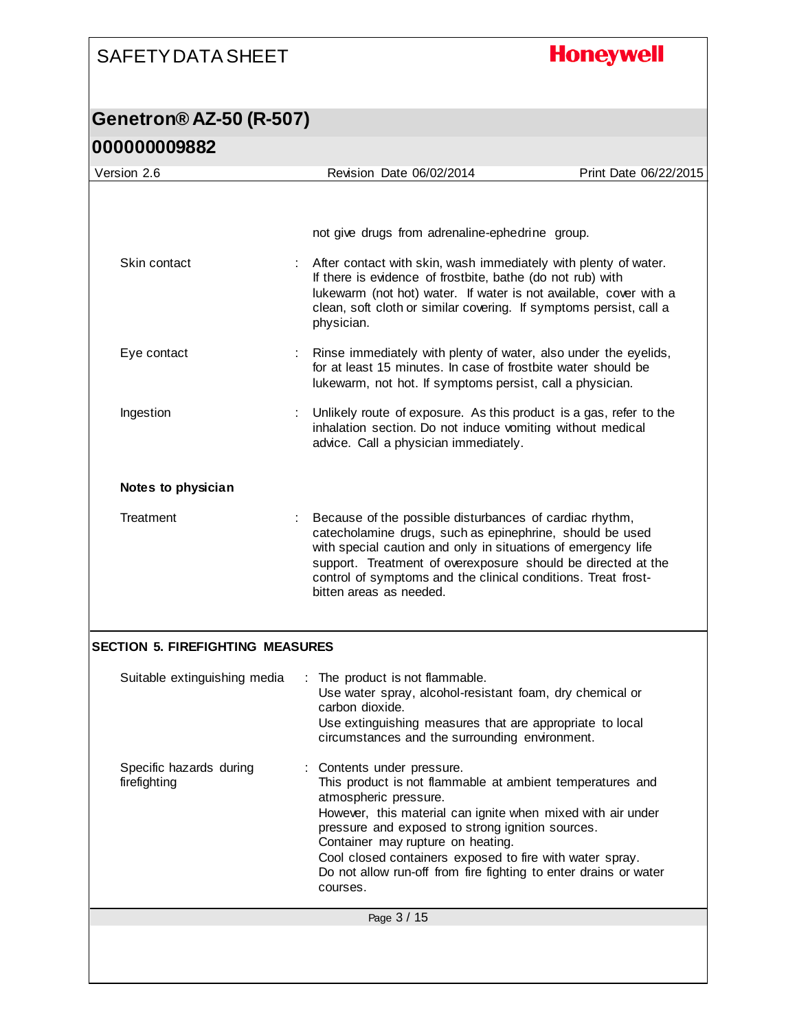# **Honeywell**

| <u>UUUUUUUJOOZ</u>                      |                                                                                                                                                                                                                                                                                                                                                                                                                    |                       |
|-----------------------------------------|--------------------------------------------------------------------------------------------------------------------------------------------------------------------------------------------------------------------------------------------------------------------------------------------------------------------------------------------------------------------------------------------------------------------|-----------------------|
| Version 2.6                             | Revision Date 06/02/2014                                                                                                                                                                                                                                                                                                                                                                                           | Print Date 06/22/2015 |
|                                         | not give drugs from adrenaline-ephedrine group.                                                                                                                                                                                                                                                                                                                                                                    |                       |
| Skin contact                            | After contact with skin, wash immediately with plenty of water.<br>If there is evidence of frostbite, bathe (do not rub) with<br>lukewarm (not hot) water. If water is not available, cover with a<br>clean, soft cloth or similar covering. If symptoms persist, call a<br>physician.                                                                                                                             |                       |
| Eye contact                             | : Rinse immediately with plenty of water, also under the eyelids,<br>for at least 15 minutes. In case of frostbite water should be<br>lukewarm, not hot. If symptoms persist, call a physician.                                                                                                                                                                                                                    |                       |
| Ingestion                               | Unlikely route of exposure. As this product is a gas, refer to the<br>inhalation section. Do not induce vomiting without medical<br>advice. Call a physician immediately.                                                                                                                                                                                                                                          |                       |
| Notes to physician                      |                                                                                                                                                                                                                                                                                                                                                                                                                    |                       |
| Treatment                               | : Because of the possible disturbances of cardiac rhythm,<br>catecholamine drugs, such as epinephrine, should be used<br>with special caution and only in situations of emergency life<br>support. Treatment of overexposure should be directed at the<br>control of symptoms and the clinical conditions. Treat frost-<br>bitten areas as needed.                                                                 |                       |
| <b>SECTION 5. FIREFIGHTING MEASURES</b> |                                                                                                                                                                                                                                                                                                                                                                                                                    |                       |
| Suitable extinguishing media            | : The product is not flammable.<br>Use water spray, alcohol-resistant foam, dry chemical or<br>carbon dioxide.<br>Use extinguishing measures that are appropriate to local<br>circumstances and the surrounding environment.                                                                                                                                                                                       |                       |
| Specific hazards during<br>firefighting | Contents under pressure.<br>This product is not flammable at ambient temperatures and<br>atmospheric pressure.<br>However, this material can ignite when mixed with air under<br>pressure and exposed to strong ignition sources.<br>Container may rupture on heating.<br>Cool closed containers exposed to fire with water spray.<br>Do not allow run-off from fire fighting to enter drains or water<br>courses. |                       |
|                                         | Page 3 / 15                                                                                                                                                                                                                                                                                                                                                                                                        |                       |
|                                         |                                                                                                                                                                                                                                                                                                                                                                                                                    |                       |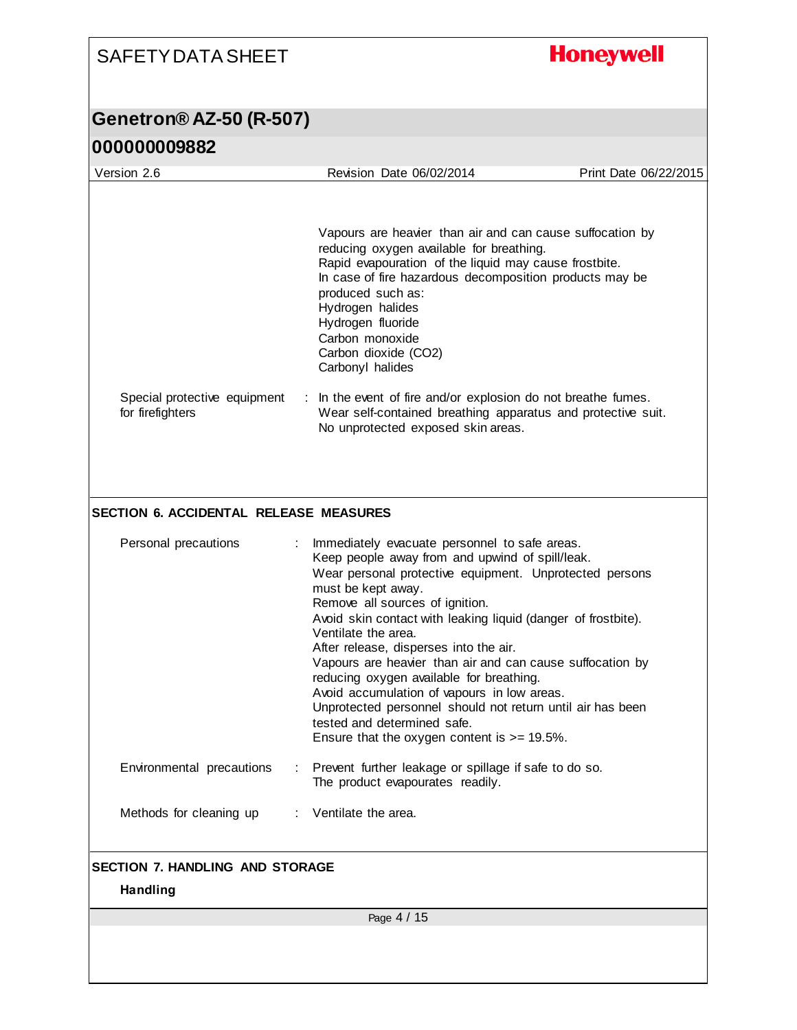#### **Honeywell** SAFETY DATA SHEET **Genetron® AZ-50 (R-507) 000000009882** Version 2.6 Revision Date 06/02/2014 Print Date 06/22/2015 Vapours are heavier than air and can cause suffocation by reducing oxygen available for breathing. Rapid evapouration of the liquid may cause frostbite. In case of fire hazardous decomposition products may be produced such as: Hydrogen halides Hydrogen fluoride Carbon monoxide Carbon dioxide (CO2) Carbonyl halides Special protective equipment : In the event of fire and/or explosion do not breathe fumes. for firefighters Wear self-contained breathing apparatus and protective suit. No unprotected exposed skin areas. **SECTION 6. ACCIDENTAL RELEASE MEASURES** Personal precautions : Immediately evacuate personnel to safe areas. Keep people away from and upwind of spill/leak. Wear personal protective equipment. Unprotected persons must be kept away. Remove all sources of ignition. Avoid skin contact with leaking liquid (danger of frostbite). Ventilate the area. After release, disperses into the air. Vapours are heavier than air and can cause suffocation by reducing oxygen available for breathing. Avoid accumulation of vapours in low areas. Unprotected personnel should not return until air has been tested and determined safe. Ensure that the oxygen content is >= 19.5%. Environmental precautions : Prevent further leakage or spillage if safe to do so. The product evapourates readily. Methods for cleaning up : Ventilate the area. **SECTION 7. HANDLING AND STORAGE Handling**Page 4 / 15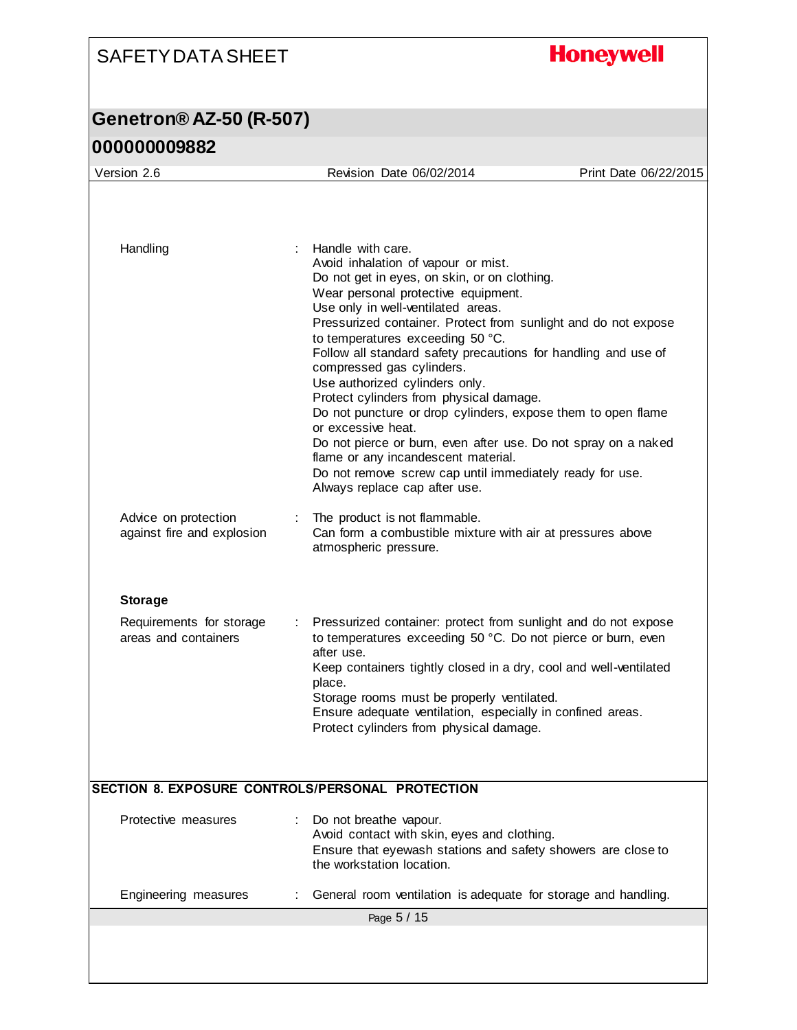# **Honeywell**

| ,,,,,,,,,                                          |                                                                                                                                                                                                                                                                                                                                                                                                                                                                                                                                                                                                                                                                                                                                                                     |                       |
|----------------------------------------------------|---------------------------------------------------------------------------------------------------------------------------------------------------------------------------------------------------------------------------------------------------------------------------------------------------------------------------------------------------------------------------------------------------------------------------------------------------------------------------------------------------------------------------------------------------------------------------------------------------------------------------------------------------------------------------------------------------------------------------------------------------------------------|-----------------------|
| Version 2.6                                        | Revision Date 06/02/2014                                                                                                                                                                                                                                                                                                                                                                                                                                                                                                                                                                                                                                                                                                                                            | Print Date 06/22/2015 |
|                                                    |                                                                                                                                                                                                                                                                                                                                                                                                                                                                                                                                                                                                                                                                                                                                                                     |                       |
| Handling                                           | Handle with care.<br>Avoid inhalation of vapour or mist.<br>Do not get in eyes, on skin, or on clothing.<br>Wear personal protective equipment.<br>Use only in well-ventilated areas.<br>Pressurized container. Protect from sunlight and do not expose<br>to temperatures exceeding 50 °C.<br>Follow all standard safety precautions for handling and use of<br>compressed gas cylinders.<br>Use authorized cylinders only.<br>Protect cylinders from physical damage.<br>Do not puncture or drop cylinders, expose them to open flame<br>or excessive heat.<br>Do not pierce or burn, even after use. Do not spray on a naked<br>flame or any incandescent material.<br>Do not remove screw cap until immediately ready for use.<br>Always replace cap after use. |                       |
| Advice on protection<br>against fire and explosion | The product is not flammable.<br>Can form a combustible mixture with air at pressures above<br>atmospheric pressure.                                                                                                                                                                                                                                                                                                                                                                                                                                                                                                                                                                                                                                                |                       |
| <b>Storage</b>                                     |                                                                                                                                                                                                                                                                                                                                                                                                                                                                                                                                                                                                                                                                                                                                                                     |                       |
| Requirements for storage<br>areas and containers   | Pressurized container: protect from sunlight and do not expose<br>to temperatures exceeding 50 °C. Do not pierce or burn, even<br>after use.<br>Keep containers tightly closed in a dry, cool and well-ventilated<br>place.<br>Storage rooms must be properly ventilated.<br>Ensure adequate ventilation, especially in confined areas.<br>Protect cylinders from physical damage.                                                                                                                                                                                                                                                                                                                                                                                  |                       |
| SECTION 8. EXPOSURE CONTROLS/PERSONAL PROTECTION   |                                                                                                                                                                                                                                                                                                                                                                                                                                                                                                                                                                                                                                                                                                                                                                     |                       |
| Protective measures                                | Do not breathe vapour.<br>Avoid contact with skin, eyes and clothing.<br>Ensure that eyewash stations and safety showers are close to<br>the workstation location.                                                                                                                                                                                                                                                                                                                                                                                                                                                                                                                                                                                                  |                       |
| Engineering measures                               | General room ventilation is adequate for storage and handling.                                                                                                                                                                                                                                                                                                                                                                                                                                                                                                                                                                                                                                                                                                      |                       |
|                                                    | Page 5 / 15                                                                                                                                                                                                                                                                                                                                                                                                                                                                                                                                                                                                                                                                                                                                                         |                       |
|                                                    |                                                                                                                                                                                                                                                                                                                                                                                                                                                                                                                                                                                                                                                                                                                                                                     |                       |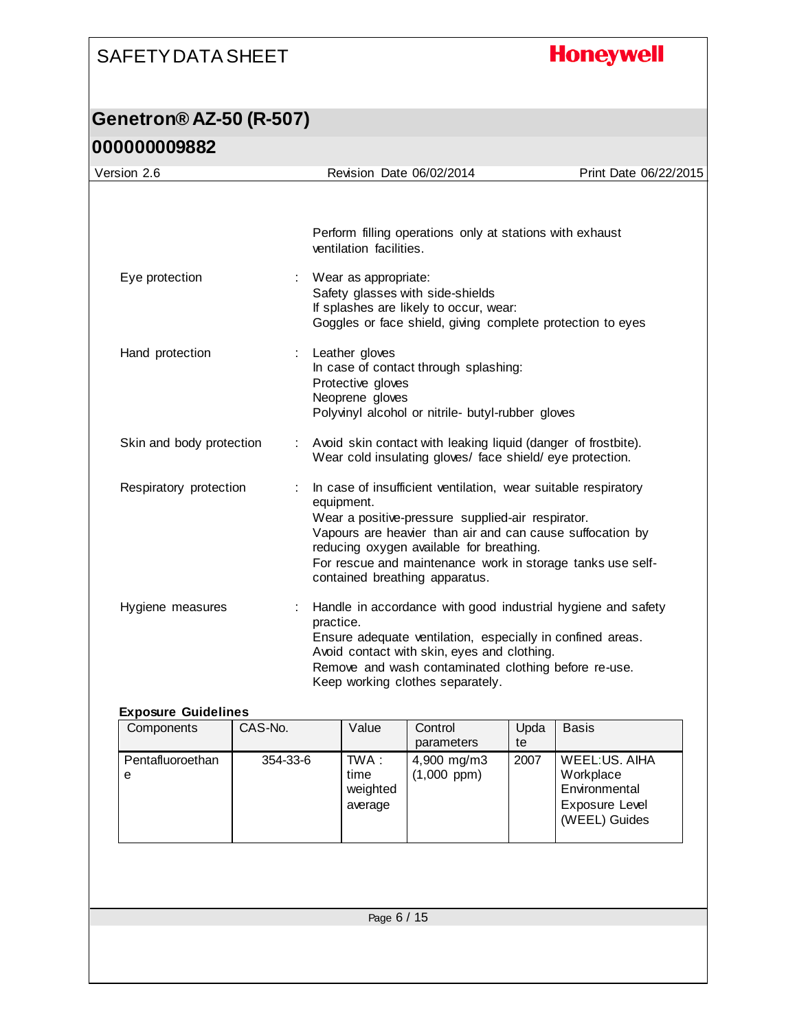## **Honeywell**

### **Genetron® AZ-50 (R-507) 000000009882**

| Version 2.6              |                                                        | Revision Date 06/02/2014                                                                                                                                                                                                                                                                                                     | Print Date 06/22/2015 |
|--------------------------|--------------------------------------------------------|------------------------------------------------------------------------------------------------------------------------------------------------------------------------------------------------------------------------------------------------------------------------------------------------------------------------------|-----------------------|
|                          | ventilation facilities.                                | Perform filling operations only at stations with exhaust                                                                                                                                                                                                                                                                     |                       |
| Eye protection           |                                                        | Wear as appropriate:<br>Safety glasses with side-shields<br>If splashes are likely to occur, wear:<br>Goggles or face shield, giving complete protection to eyes                                                                                                                                                             |                       |
| Hand protection          | Leather gloves<br>Protective gloves<br>Neoprene gloves | In case of contact through splashing:<br>Polyvinyl alcohol or nitrile- butyl-rubber gloves                                                                                                                                                                                                                                   |                       |
| Skin and body protection |                                                        | Avoid skin contact with leaking liquid (danger of frostbite).<br>Wear cold insulating gloves/ face shield/eye protection.                                                                                                                                                                                                    |                       |
| Respiratory protection   | equipment.                                             | In case of insufficient ventilation, wear suitable respiratory<br>Wear a positive-pressure supplied-air respirator.<br>Vapours are heavier than air and can cause suffocation by<br>reducing oxygen available for breathing.<br>For rescue and maintenance work in storage tanks use self-<br>contained breathing apparatus. |                       |
| Hygiene measures         | practice.                                              | Handle in accordance with good industrial hygiene and safety<br>Ensure adequate ventilation, especially in confined areas.<br>Avoid contact with skin, eyes and clothing.<br>Remove and wash contaminated clothing before re-use.<br>Keep working clothes separately.                                                        |                       |

#### **Exposure Guidelines**

| <b>Components</b> | CAS-No.  | Value    | Control          | Upda | <b>Basis</b>   |
|-------------------|----------|----------|------------------|------|----------------|
|                   |          |          | parameters       | te   |                |
| Pentafluoroethan  | 354-33-6 | TWA :    | 4,900 mg/m3      | 2007 | WEEL:US, AIHA  |
| е                 |          | time     | $(1,000$ ppm $)$ |      | Workplace      |
|                   |          | weighted |                  |      | Environmental  |
|                   |          | average  |                  |      | Exposure Level |
|                   |          |          |                  |      | (WEEL) Guides  |
|                   |          |          |                  |      |                |

Page 6 / 15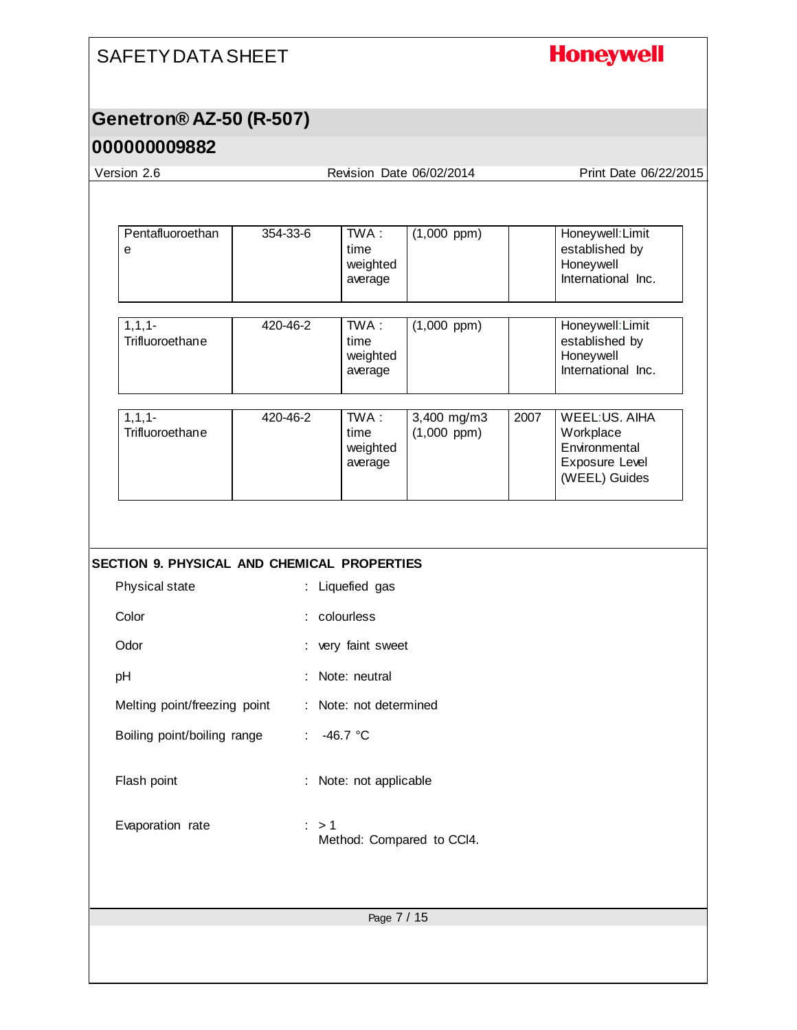# **Honeywell**

## **Genetron® AZ-50 (R-507)**

| Version 2.6                                 |          |                                      | Revision Date 06/02/2014        |      | Print Date 06/22/2015                                                                 |
|---------------------------------------------|----------|--------------------------------------|---------------------------------|------|---------------------------------------------------------------------------------------|
|                                             |          |                                      |                                 |      |                                                                                       |
| Pentafluoroethan<br>$\mathbf e$             | 354-33-6 | TWA :<br>time<br>weighted<br>average | $(1,000$ ppm)                   |      | Honeywell: Limit<br>established by<br>Honeywell<br>International Inc.                 |
| $1, 1, 1-$<br>Trifluoroethane               | 420-46-2 | TWA :<br>time<br>weighted<br>average | $(1,000$ ppm)                   |      | Honeywell: Limit<br>established by<br>Honeywell<br>International Inc.                 |
| $1, 1, 1$ -<br>Trifluoroethane              | 420-46-2 | TWA:<br>time<br>weighted<br>average  | 3,400 mg/m3<br>$(1,000$ ppm $)$ | 2007 | <b>WEEL:US. AIHA</b><br>Workplace<br>Environmental<br>Exposure Level<br>(WEEL) Guides |
|                                             |          |                                      |                                 |      |                                                                                       |
| SECTION 9. PHYSICAL AND CHEMICAL PROPERTIES |          |                                      |                                 |      |                                                                                       |
| Physical state                              |          | : Liquefied gas                      |                                 |      |                                                                                       |
| Color                                       |          | colourless                           |                                 |      |                                                                                       |
| Odor                                        |          | very faint sweet                     |                                 |      |                                                                                       |
| pH                                          |          | Note: neutral                        |                                 |      |                                                                                       |
| Melting point/freezing point                |          | : Note: not determined               |                                 |      |                                                                                       |
| Boiling point/boiling range                 |          | -46.7 $°C$                           |                                 |      |                                                                                       |
| Flash point                                 |          | Note: not applicable                 |                                 |      |                                                                                       |
| Evaporation rate                            | : > 1    |                                      | Method: Compared to CCI4.       |      |                                                                                       |
|                                             |          | Page 7 / 15                          |                                 |      |                                                                                       |
|                                             |          |                                      |                                 |      |                                                                                       |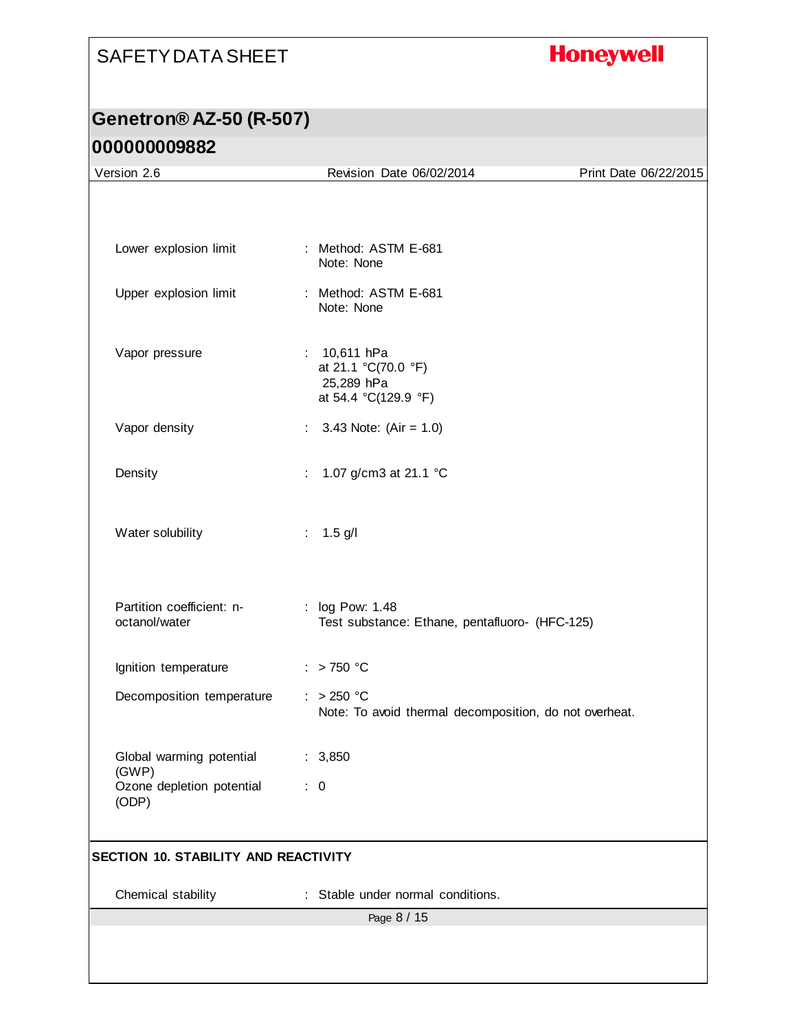# **Honeywell**

| UUUUUUUJUUL                                 |                                                        |                       |
|---------------------------------------------|--------------------------------------------------------|-----------------------|
| Version 2.6                                 | Revision Date 06/02/2014                               | Print Date 06/22/2015 |
|                                             |                                                        |                       |
|                                             |                                                        |                       |
| Lower explosion limit                       | : Method: ASTM E-681                                   |                       |
|                                             | Note: None                                             |                       |
| Upper explosion limit                       | : Method: ASTM E-681                                   |                       |
|                                             | Note: None                                             |                       |
|                                             |                                                        |                       |
| Vapor pressure                              | : $10,611$ hPa<br>at 21.1 °C(70.0 °F)                  |                       |
|                                             | 25,289 hPa                                             |                       |
|                                             | at 54.4 °C(129.9 °F)                                   |                       |
| Vapor density                               | 3.43 Note: $(Air = 1.0)$                               |                       |
|                                             |                                                        |                       |
| Density                                     | : 1.07 g/cm3 at 21.1 $^{\circ}$ C                      |                       |
|                                             |                                                        |                       |
| Water solubility                            | : $1.5$ g/l                                            |                       |
|                                             |                                                        |                       |
|                                             |                                                        |                       |
| Partition coefficient: n-                   | : log Pow: 1.48                                        |                       |
| octanol/water                               | Test substance: Ethane, pentafluoro- (HFC-125)         |                       |
|                                             |                                                        |                       |
| Ignition temperature                        | $:$ > 750 °C                                           |                       |
| Decomposition temperature                   | $: > 250$ °C                                           |                       |
|                                             | Note: To avoid thermal decomposition, do not overheat. |                       |
|                                             |                                                        |                       |
| Global warming potential<br>(GWP)           | : 3,850                                                |                       |
| Ozone depletion potential<br>(ODP)          | $\therefore$ 0                                         |                       |
|                                             |                                                        |                       |
| <b>SECTION 10. STABILITY AND REACTIVITY</b> |                                                        |                       |
|                                             |                                                        |                       |
| Chemical stability                          | : Stable under normal conditions.                      |                       |
|                                             | Page 8 / 15                                            |                       |
|                                             |                                                        |                       |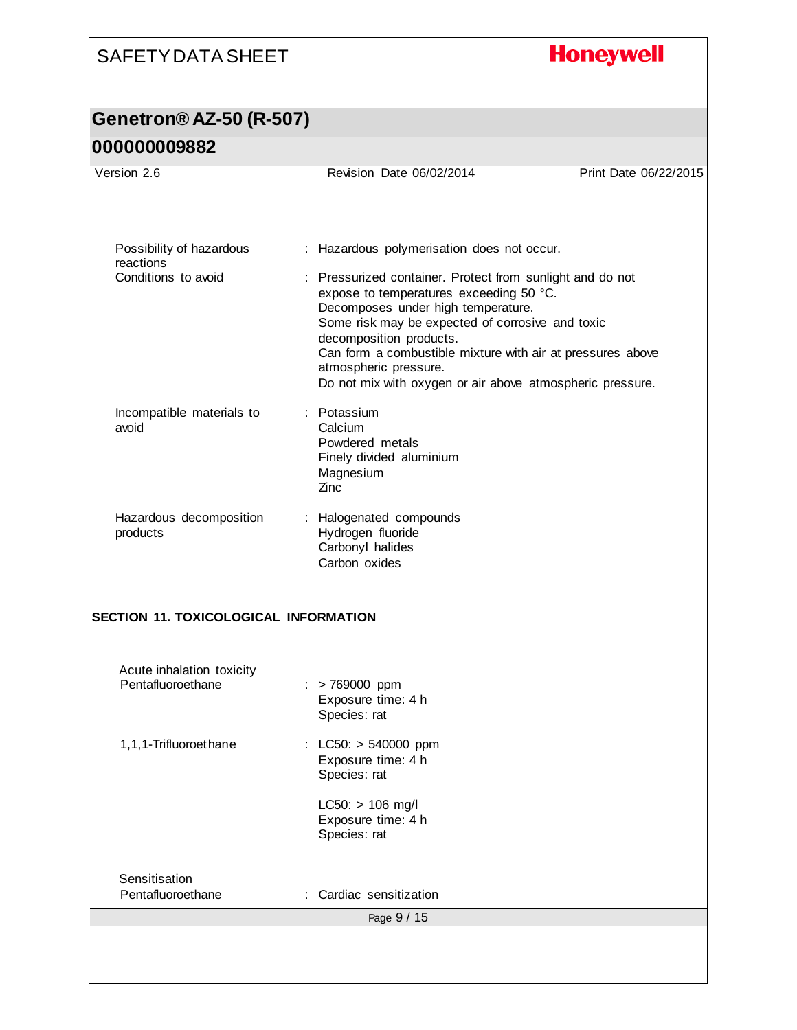# **Honeywell**

# **Genetron® AZ-50 (R-507)**

| Version 2.6                                    | Revision Date 06/02/2014                                                                                                                                                                                                                                                                                                                                                      | Print Date 06/22/2015 |
|------------------------------------------------|-------------------------------------------------------------------------------------------------------------------------------------------------------------------------------------------------------------------------------------------------------------------------------------------------------------------------------------------------------------------------------|-----------------------|
|                                                |                                                                                                                                                                                                                                                                                                                                                                               |                       |
| Possibility of hazardous<br>reactions          | : Hazardous polymerisation does not occur.                                                                                                                                                                                                                                                                                                                                    |                       |
| Conditions to avoid                            | : Pressurized container. Protect from sunlight and do not<br>expose to temperatures exceeding 50 °C.<br>Decomposes under high temperature.<br>Some risk may be expected of corrosive and toxic<br>decomposition products.<br>Can form a combustible mixture with air at pressures above<br>atmospheric pressure.<br>Do not mix with oxygen or air above atmospheric pressure. |                       |
| Incompatible materials to<br>avoid             | Potassium<br>Calcium<br>Powdered metals<br>Finely divided aluminium<br>Magnesium<br>Zinc                                                                                                                                                                                                                                                                                      |                       |
| Hazardous decomposition<br>products            | Halogenated compounds<br>Hydrogen fluoride<br>Carbonyl halides<br>Carbon oxides                                                                                                                                                                                                                                                                                               |                       |
| SECTION 11. TOXICOLOGICAL INFORMATION          |                                                                                                                                                                                                                                                                                                                                                                               |                       |
| Acute inhalation toxicity<br>Pentafluoroethane | > 769000 ppm<br>Exposure time: 4 h<br>Species: rat                                                                                                                                                                                                                                                                                                                            |                       |
| 1,1,1-Trifluoroethane                          | : LC50: > 540000 ppm<br>Exposure time: 4 h<br>Species: rat                                                                                                                                                                                                                                                                                                                    |                       |
|                                                | $LC50:$ > 106 mg/l<br>Exposure time: 4 h<br>Species: rat                                                                                                                                                                                                                                                                                                                      |                       |
| Sensitisation<br>Pentafluoroethane             | Cardiac sensitization                                                                                                                                                                                                                                                                                                                                                         |                       |
|                                                | Page 9 / 15                                                                                                                                                                                                                                                                                                                                                                   |                       |
|                                                |                                                                                                                                                                                                                                                                                                                                                                               |                       |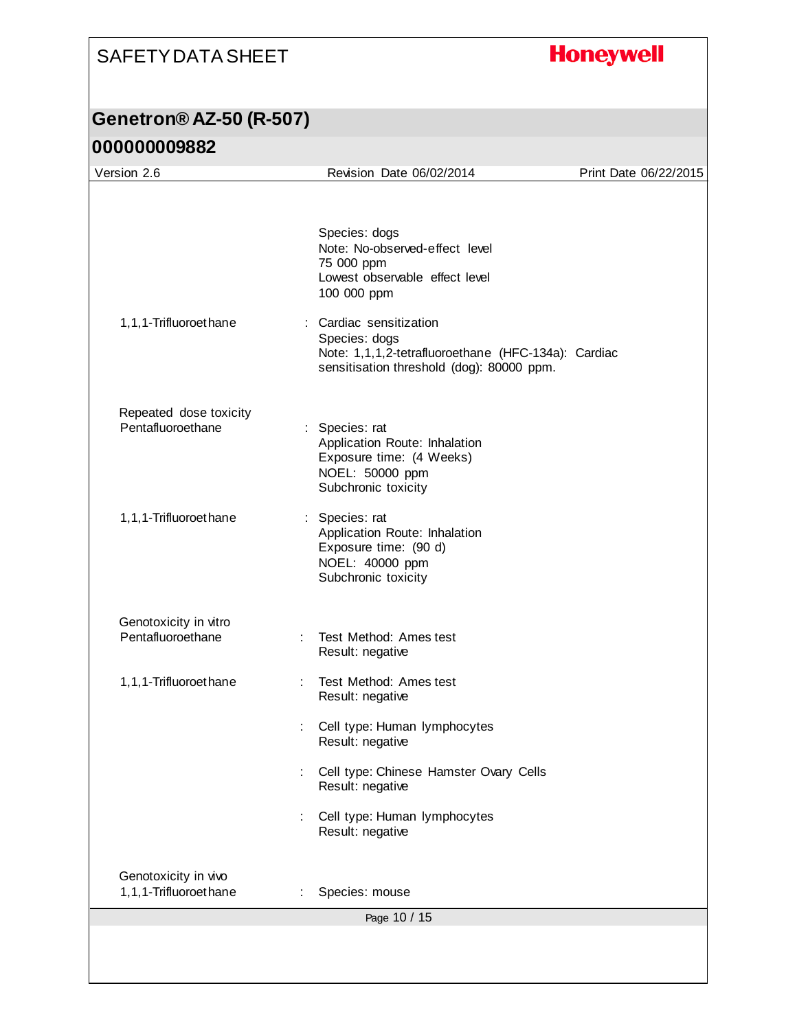# **Honeywell**

| ,,,,,,,,                                      |                                                                                                                                              |                       |
|-----------------------------------------------|----------------------------------------------------------------------------------------------------------------------------------------------|-----------------------|
| Version 2.6                                   | Revision Date 06/02/2014                                                                                                                     | Print Date 06/22/2015 |
|                                               | Species: dogs<br>Note: No-observed-effect level<br>75 000 ppm<br>Lowest observable effect level<br>100 000 ppm                               |                       |
| 1,1,1-Trifluoroethane                         | : Cardiac sensitization<br>Species: dogs<br>Note: 1,1,1,2-tetrafluoroethane (HFC-134a): Cardiac<br>sensitisation threshold (dog): 80000 ppm. |                       |
| Repeated dose toxicity<br>Pentafluoroethane   | : Species: rat<br>Application Route: Inhalation<br>Exposure time: (4 Weeks)<br>NOEL: 50000 ppm<br>Subchronic toxicity                        |                       |
| 1,1,1-Trifluoroethane                         | : Species: rat<br>Application Route: Inhalation<br>Exposure time: (90 d)<br>NOEL: 40000 ppm<br>Subchronic toxicity                           |                       |
| Genotoxicity in vitro<br>Pentafluoroethane    | Test Method: Ames test<br>Result: negative                                                                                                   |                       |
| 1,1,1-Trifluoroethane                         | Test Method: Ames test<br>Result: negative<br>Cell type: Human lymphocytes<br>Result: negative                                               |                       |
|                                               | Cell type: Chinese Hamster Ovary Cells<br>Result: negative                                                                                   |                       |
|                                               | Cell type: Human lymphocytes<br>Result: negative                                                                                             |                       |
| Genotoxicity in vivo<br>1,1,1-Trifluoroethane | Species: mouse                                                                                                                               |                       |
|                                               | Page 10 / 15                                                                                                                                 |                       |
|                                               |                                                                                                                                              |                       |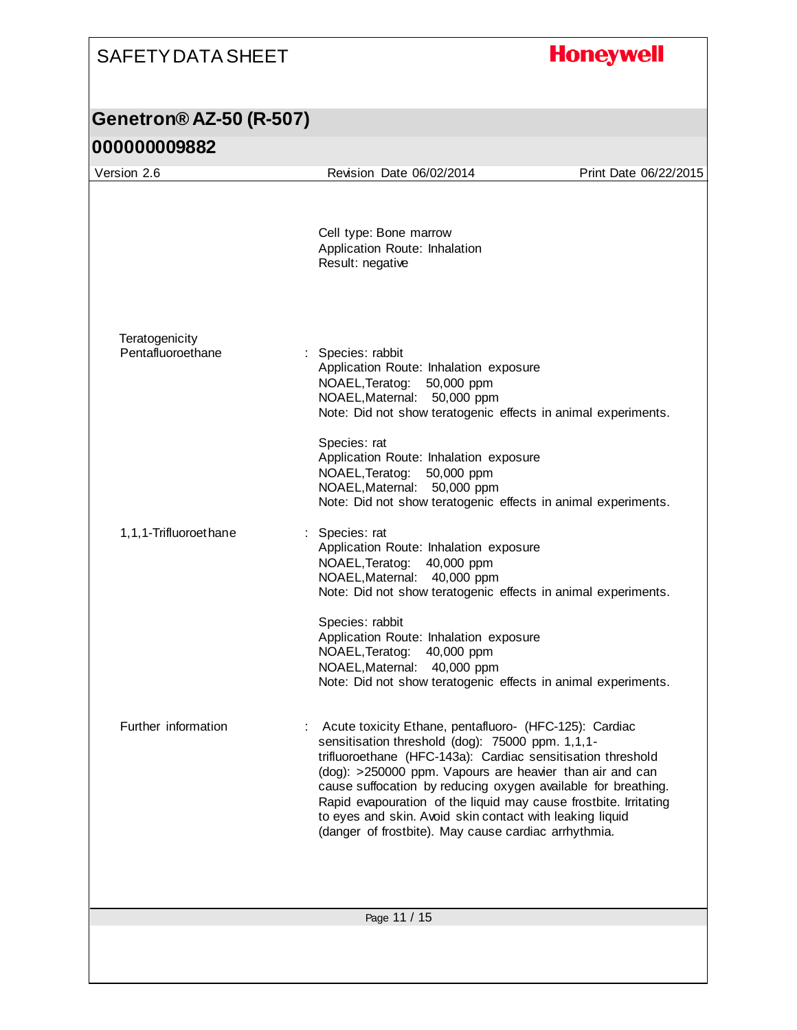## **Honeywell**

## **Genetron® AZ-50 (R-507)**

| 000000009882                        |                                                                                                                                                                                                                                                                                                                                                                              |                       |
|-------------------------------------|------------------------------------------------------------------------------------------------------------------------------------------------------------------------------------------------------------------------------------------------------------------------------------------------------------------------------------------------------------------------------|-----------------------|
| Version 2.6                         | Revision Date 06/02/2014                                                                                                                                                                                                                                                                                                                                                     | Print Date 06/22/2015 |
|                                     | Cell type: Bone marrow<br>Application Route: Inhalation<br>Result: negative                                                                                                                                                                                                                                                                                                  |                       |
| Teratogenicity<br>Pentafluoroethane | : Species: rabbit<br>Application Route: Inhalation exposure<br>NOAEL, Teratog: 50,000 ppm<br>NOAEL, Maternal: 50,000 ppm<br>Note: Did not show teratogenic effects in animal experiments.                                                                                                                                                                                    |                       |
|                                     | Species: rat<br>Application Route: Inhalation exposure<br>NOAEL, Teratog: 50,000 ppm<br>NOAEL, Maternal: 50,000 ppm<br>Note: Did not show teratogenic effects in animal experiments.                                                                                                                                                                                         |                       |
| 1,1,1-Trifluoroethane               | : Species: rat<br>Application Route: Inhalation exposure<br>NOAEL, Teratog: 40,000 ppm<br>NOAEL, Maternal: 40,000 ppm<br>Note: Did not show teratogenic effects in animal experiments.                                                                                                                                                                                       |                       |
|                                     | Species: rabbit<br>Application Route: Inhalation exposure<br>NOAEL, Teratog:<br>40,000 ppm<br>NOAEL, Maternal: 40,000 ppm<br>Note: Did not show teratogenic effects in animal experiments.                                                                                                                                                                                   |                       |
| Further information                 | : Acute toxicity Ethane, pentafluoro- (HFC-125): Cardiac<br>sensitisation threshold (dog): 75000 ppm. 1,1,1-<br>trifluoroethane (HFC-143a): Cardiac sensitisation threshold<br>(dog): >250000 ppm. Vapours are heavier than air and can<br>cause suffocation by reducing oxygen available for breathing.<br>Rapid evapouration of the liquid may cause frostbite. Irritating |                       |

Page 11 / 15

to eyes and skin. Avoid skin contact with leaking liquid (danger of frostbite). May cause cardiac arrhythmia.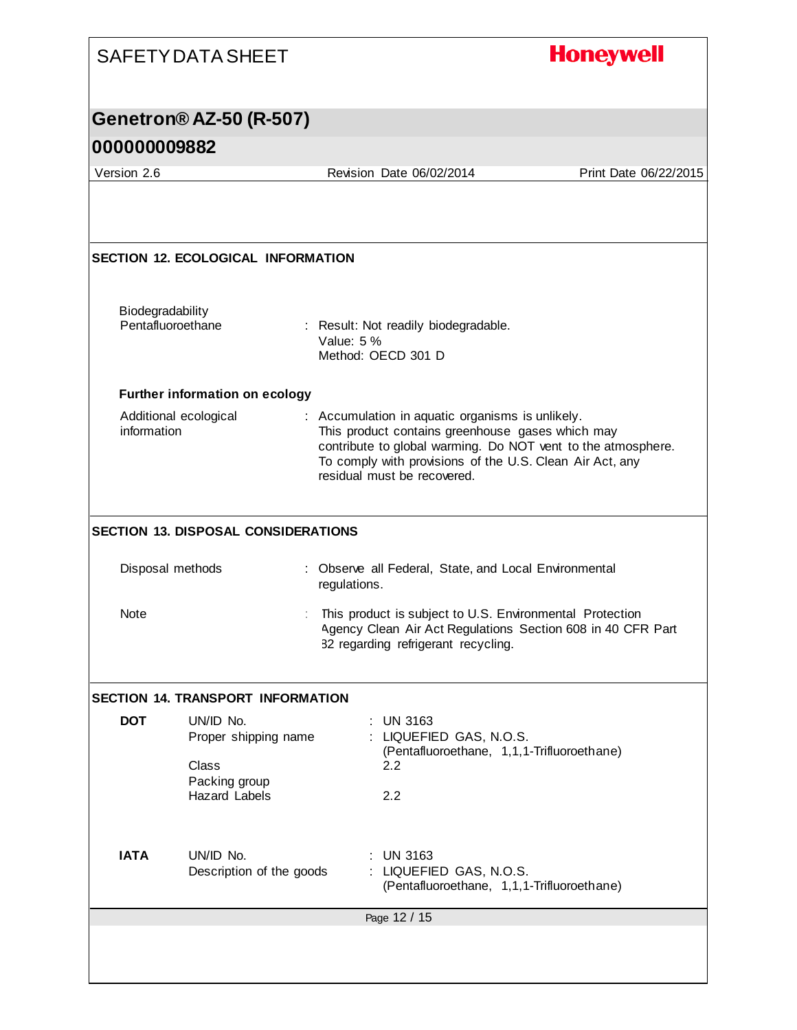|                  | <b>SAFETY DATA SHEET</b>                                                            |              |                                                                                                                                                                                                 | <b>Honeywell</b>                                             |
|------------------|-------------------------------------------------------------------------------------|--------------|-------------------------------------------------------------------------------------------------------------------------------------------------------------------------------------------------|--------------------------------------------------------------|
|                  | Genetron <sup>®</sup> AZ-50 (R-507)                                                 |              |                                                                                                                                                                                                 |                                                              |
| 000000009882     |                                                                                     |              |                                                                                                                                                                                                 |                                                              |
| Version 2.6      |                                                                                     |              | Revision Date 06/02/2014                                                                                                                                                                        | Print Date 06/22/2015                                        |
|                  |                                                                                     |              |                                                                                                                                                                                                 |                                                              |
|                  | <b>SECTION 12. ECOLOGICAL INFORMATION</b>                                           |              |                                                                                                                                                                                                 |                                                              |
| Biodegradability | Pentafluoroethane                                                                   | Value: 5 %   | : Result: Not readily biodegradable.<br>Method: OECD 301 D                                                                                                                                      |                                                              |
|                  | <b>Further information on ecology</b>                                               |              |                                                                                                                                                                                                 |                                                              |
| information      | Additional ecological                                                               |              | : Accumulation in aquatic organisms is unlikely.<br>This product contains greenhouse gases which may<br>To comply with provisions of the U.S. Clean Air Act, any<br>residual must be recovered. | contribute to global warming. Do NOT vent to the atmosphere. |
|                  |                                                                                     |              |                                                                                                                                                                                                 |                                                              |
|                  | <b>SECTION 13. DISPOSAL CONSIDERATIONS</b>                                          |              |                                                                                                                                                                                                 |                                                              |
|                  | Disposal methods                                                                    | regulations. | : Observe all Federal, State, and Local Environmental                                                                                                                                           |                                                              |
| Note             |                                                                                     |              | This product is subject to U.S. Environmental Protection<br>82 regarding refrigerant recycling.                                                                                                 | Agency Clean Air Act Regulations Section 608 in 40 CFR Part  |
|                  | SECTION 14. TRANSPORT INFORMATION                                                   |              |                                                                                                                                                                                                 |                                                              |
| <b>DOT</b>       | UN/ID No.<br>Proper shipping name<br>Class<br>Packing group<br><b>Hazard Labels</b> |              | <b>UN 3163</b><br>LIQUEFIED GAS, N.O.S.<br>(Pentafluoroethane, 1,1,1-Trifluoroethane)<br>$2.2\phantom{0}$<br>2.2                                                                                |                                                              |
| <b>IATA</b>      | UN/ID No.<br>Description of the goods                                               |              | $:$ UN 3163<br>: LIQUEFIED GAS, N.O.S.<br>(Pentafluoroethane, 1,1,1-Trifluoroethane)                                                                                                            |                                                              |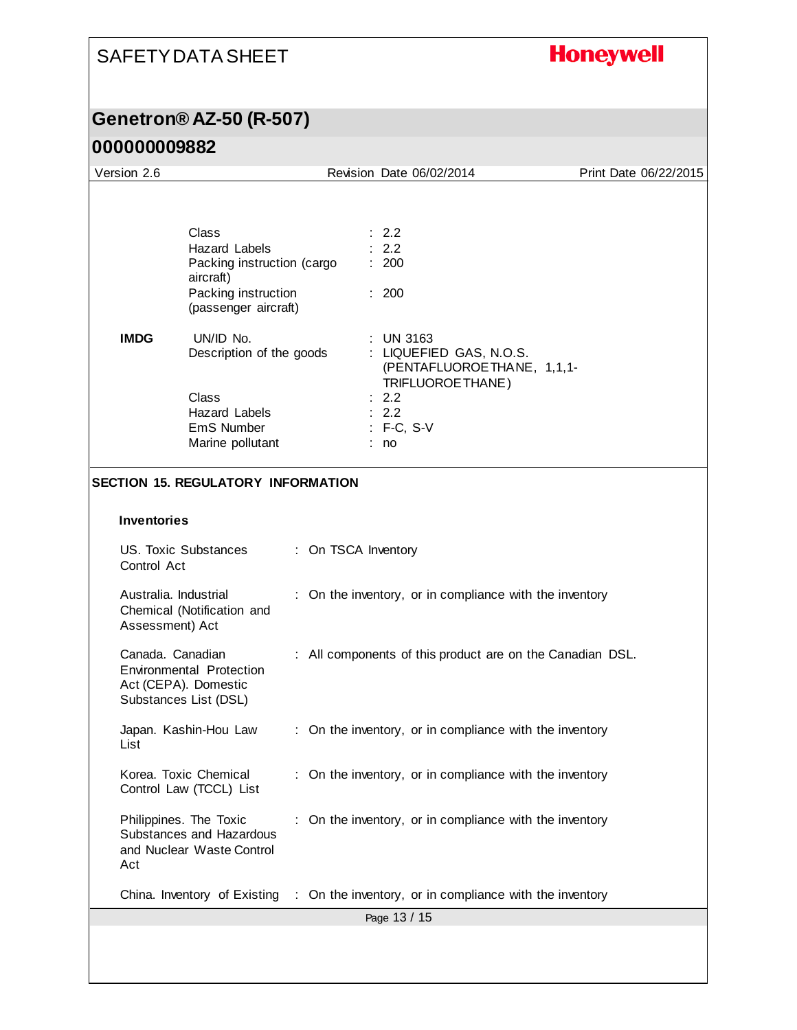# **Honeywell**

## **Genetron® AZ-50 (R-507)**

| Version 2.6                               |                                                                                                                                                                                                                       |                     | Revision Date 06/02/2014                                                                                                                                               | Print Date 06/22/2015 |  |  |  |
|-------------------------------------------|-----------------------------------------------------------------------------------------------------------------------------------------------------------------------------------------------------------------------|---------------------|------------------------------------------------------------------------------------------------------------------------------------------------------------------------|-----------------------|--|--|--|
| <b>IMDG</b>                               | Class<br>Hazard Labels<br>Packing instruction (cargo<br>aircraft)<br>Packing instruction<br>(passenger aircraft)<br>UN/ID No.<br>Description of the goods<br>Class<br>Hazard Labels<br>EmS Number<br>Marine pollutant |                     | : 2.2<br>2.2<br>: 200<br>: 200<br><b>UN 3163</b><br>: LIQUEFIED GAS, N.O.S.<br>(PENTAFLUOROETHANE, 1,1,1-<br>TRIFLUOROE THANE)<br>: 2.2<br>2.2<br>$: F-C, S-V$<br>: no |                       |  |  |  |
| <b>SECTION 15. REGULATORY INFORMATION</b> |                                                                                                                                                                                                                       |                     |                                                                                                                                                                        |                       |  |  |  |
| <b>Inventories</b>                        |                                                                                                                                                                                                                       |                     |                                                                                                                                                                        |                       |  |  |  |
| US. Toxic Substances<br>Control Act       |                                                                                                                                                                                                                       | : On TSCA Inventory |                                                                                                                                                                        |                       |  |  |  |
| Australia. Industrial<br>Assessment) Act  | Chemical (Notification and                                                                                                                                                                                            |                     | : On the inventory, or in compliance with the inventory                                                                                                                |                       |  |  |  |
| Canada. Canadian                          | <b>Environmental Protection</b><br>Act (CEPA). Domestic<br>Substances List (DSL)                                                                                                                                      |                     | : All components of this product are on the Canadian DSL.                                                                                                              |                       |  |  |  |
| List                                      | Japan. Kashin-Hou Law                                                                                                                                                                                                 |                     | : On the inventory, or in compliance with the inventory                                                                                                                |                       |  |  |  |
|                                           | Korea. Toxic Chemical<br>Control Law (TCCL) List                                                                                                                                                                      |                     | : On the inventory, or in compliance with the inventory                                                                                                                |                       |  |  |  |
| Act                                       | Philippines. The Toxic<br>Substances and Hazardous<br>and Nuclear Waste Control                                                                                                                                       |                     | : On the inventory, or in compliance with the inventory                                                                                                                |                       |  |  |  |
|                                           | China. Inventory of Existing                                                                                                                                                                                          |                     | : On the inventory, or in compliance with the inventory                                                                                                                |                       |  |  |  |
| Page 13 / 15                              |                                                                                                                                                                                                                       |                     |                                                                                                                                                                        |                       |  |  |  |
|                                           |                                                                                                                                                                                                                       |                     |                                                                                                                                                                        |                       |  |  |  |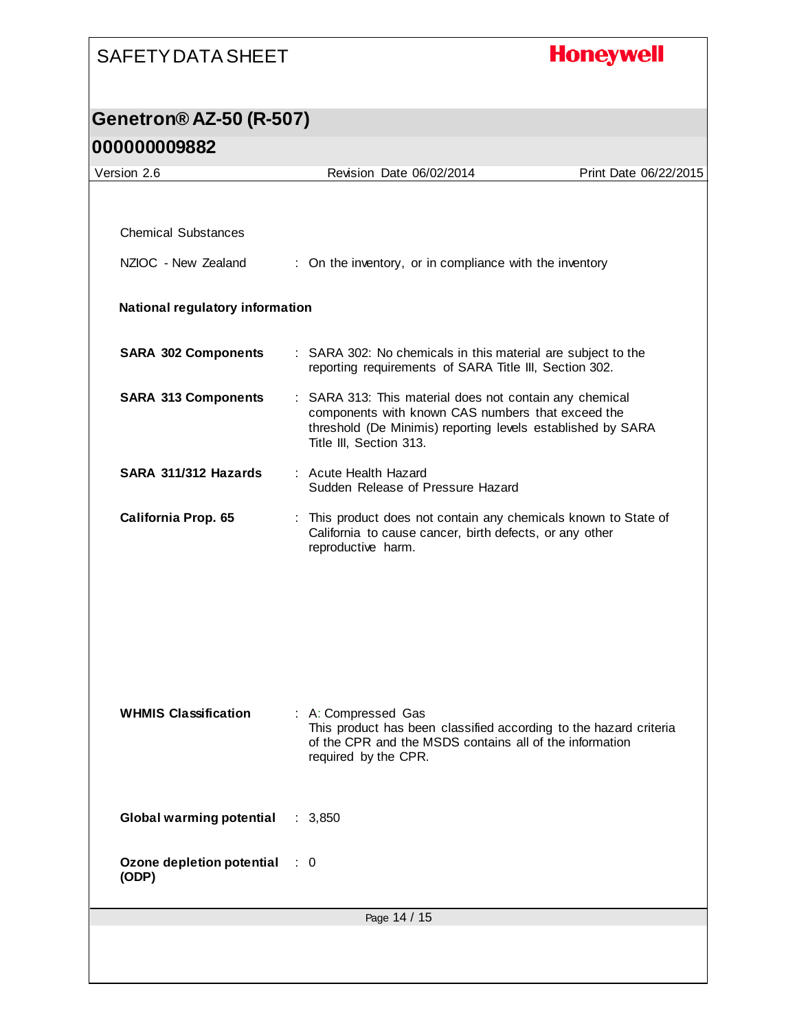# **Honeywell**

| Version 2.6                        | Revision Date 06/02/2014                                                                                                                                                                               | Print Date 06/22/2015 |  |  |  |  |
|------------------------------------|--------------------------------------------------------------------------------------------------------------------------------------------------------------------------------------------------------|-----------------------|--|--|--|--|
|                                    |                                                                                                                                                                                                        |                       |  |  |  |  |
| <b>Chemical Substances</b>         |                                                                                                                                                                                                        |                       |  |  |  |  |
| NZIOC - New Zealand                | : On the inventory, or in compliance with the inventory                                                                                                                                                |                       |  |  |  |  |
| National regulatory information    |                                                                                                                                                                                                        |                       |  |  |  |  |
| <b>SARA 302 Components</b>         | : SARA 302: No chemicals in this material are subject to the<br>reporting requirements of SARA Title III, Section 302.                                                                                 |                       |  |  |  |  |
| <b>SARA 313 Components</b>         | : SARA 313: This material does not contain any chemical<br>components with known CAS numbers that exceed the<br>threshold (De Minimis) reporting levels established by SARA<br>Title III, Section 313. |                       |  |  |  |  |
| SARA 311/312 Hazards               | : Acute Health Hazard<br>Sudden Release of Pressure Hazard                                                                                                                                             |                       |  |  |  |  |
| California Prop. 65                | This product does not contain any chemicals known to State of<br>÷<br>California to cause cancer, birth defects, or any other<br>reproductive harm.                                                    |                       |  |  |  |  |
| <b>WHMIS Classification</b>        | : A: Compressed Gas<br>This product has been classified according to the hazard criteria<br>of the CPR and the MSDS contains all of the information<br>required by the CPR.                            |                       |  |  |  |  |
| <b>Global warming potential</b>    | : 3,850                                                                                                                                                                                                |                       |  |  |  |  |
| Ozone depletion potential<br>(ODP) | $\therefore$ 0                                                                                                                                                                                         |                       |  |  |  |  |
| Page 14 / 15                       |                                                                                                                                                                                                        |                       |  |  |  |  |
|                                    |                                                                                                                                                                                                        |                       |  |  |  |  |
|                                    |                                                                                                                                                                                                        |                       |  |  |  |  |